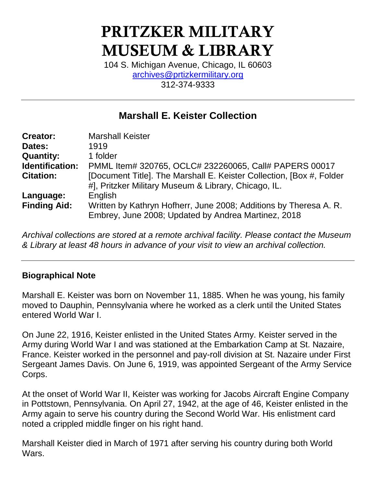# PRITZKER MILITARY MUSEUM & LIBRARY

104 S. Michigan Avenue, Chicago, IL 60603 [archives@prtizkermilitary.org](mailto:archives@prtizkermilitary.org) 312-374-9333

# **Marshall E. Keister Collection**

| <b>Creator:</b>     | <b>Marshall Keister</b>                                                                                                      |
|---------------------|------------------------------------------------------------------------------------------------------------------------------|
| Dates:              | 1919                                                                                                                         |
| <b>Quantity:</b>    | 1 folder                                                                                                                     |
| Identification:     | PMML Item# 320765, OCLC# 232260065, Call# PAPERS 00017                                                                       |
| <b>Citation:</b>    | [Document Title]. The Marshall E. Keister Collection, [Box #, Folder<br>#], Pritzker Military Museum & Library, Chicago, IL. |
| Language:           | English                                                                                                                      |
| <b>Finding Aid:</b> | Written by Kathryn Hofherr, June 2008; Additions by Theresa A. R.<br>Embrey, June 2008; Updated by Andrea Martinez, 2018     |

*Archival collections are stored at a remote archival facility. Please contact the Museum & Library at least 48 hours in advance of your visit to view an archival collection.*

# **Biographical Note**

Marshall E. Keister was born on November 11, 1885. When he was young, his family moved to Dauphin, Pennsylvania where he worked as a clerk until the United States entered World War I.

On June 22, 1916, Keister enlisted in the United States Army. Keister served in the Army during World War I and was stationed at the Embarkation Camp at St. Nazaire, France. Keister worked in the personnel and pay-roll division at St. Nazaire under First Sergeant James Davis. On June 6, 1919, was appointed Sergeant of the Army Service Corps.

At the onset of World War II, Keister was working for Jacobs Aircraft Engine Company in Pottstown, Pennsylvania. On April 27, 1942, at the age of 46, Keister enlisted in the Army again to serve his country during the Second World War. His enlistment card noted a crippled middle finger on his right hand.

Marshall Keister died in March of 1971 after serving his country during both World Wars.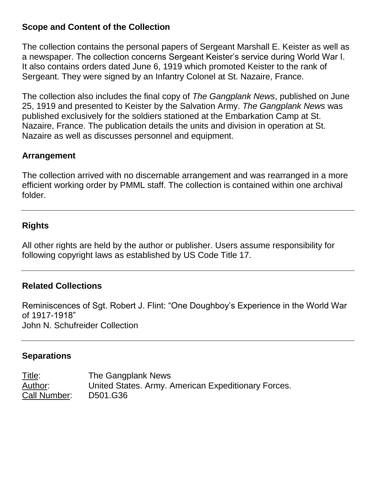#### **Scope and Content of the Collection**

The collection contains the personal papers of Sergeant Marshall E. Keister as well as a newspaper. The collection concerns Sergeant Keister's service during World War I. It also contains orders dated June 6, 1919 which promoted Keister to the rank of Sergeant. They were signed by an Infantry Colonel at St. Nazaire, France.

The collection also includes the final copy of *The Gangplank News*, published on June 25, 1919 and presented to Keister by the Salvation Army. *The Gangplank News* was published exclusively for the soldiers stationed at the Embarkation Camp at St. Nazaire, France. The publication details the units and division in operation at St. Nazaire as well as discusses personnel and equipment.

#### **Arrangement**

The collection arrived with no discernable arrangement and was rearranged in a more efficient working order by PMML staff. The collection is contained within one archival folder.

# **Rights**

All other rights are held by the author or publisher. Users assume responsibility for following copyright laws as established by US Code Title 17.

# **Related Collections**

Reminiscences of Sgt. Robert J. Flint: "One Doughboy's Experience in the World War of 1917-1918" John N. Schufreider Collection

# **Separations**

Title: The Gangplank News Author: United States. Army. American Expeditionary Forces. Call Number: D501.G36